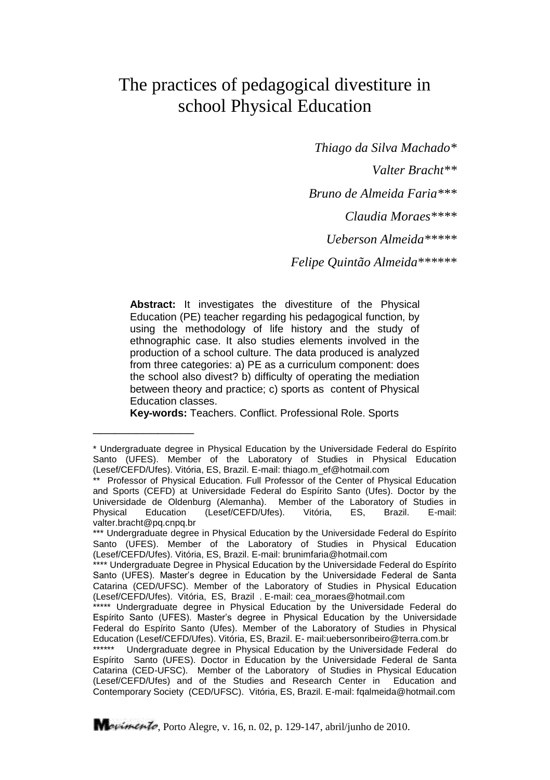# The practices of pedagogical divestiture in school Physical Education

*Thiago da Silva Machado\* Valter Bracht\*\**

*Bruno de Almeida Faria\*\*\**

*Claudia Moraes\*\*\*\**

*Ueberson Almeida\*\*\*\*\**

*Felipe Quintão Almeida\*\*\*\*\*\**

**Abstract:** It investigates the divestiture of the Physical Education (PE) teacher regarding his pedagogical function, by using the methodology of life history and the study of ethnographic case. It also studies elements involved in the production of a school culture. The data produced is analyzed from three categories: a) PE as a curriculum component: does the school also divest? b) difficulty of operating the mediation between theory and practice; c) sports as content of Physical Education classes.

**Key-words:** Teachers. Conflict. Professional Role. Sports

\_\_\_\_\_\_\_\_\_\_\_\_\_\_

<sup>\*</sup> Undergraduate degree in Physical Education by the Universidade Federal do Espírito Santo (UFES). Member of the Laboratory of Studies in Physical Education (Lesef/CEFD/Ufes). Vitória, ES, Brazil. E-mail: thiago.m\_ef@hotmail.com

<sup>\*\*</sup> Professor of Physical Education. Full Professor of the Center of Physical Education and Sports (CEFD) at Universidade Federal do Espírito Santo (Ufes). Doctor by the Universidade de Oldenburg (Alemanha). Member of the Laboratory of Studies in<br>Physical Education (Lesef/CEFD/Ufes). Vitória, ES, Brazil. E-mail: (Lesef/CEFD/Ufes). Vitória, ES, Brazil. E-mail: valter.bracht@pg.cnpg.br

<sup>\*\*\*</sup> Undergraduate degree in Physical Education by the Universidade Federal do Espírito Santo (UFES). Member of the Laboratory of Studies in Physical Education (Lesef/CEFD/Ufes). Vitória, ES, Brazil. E-mail: brunimfaria@hotmail.com

<sup>\*\*\*\*</sup> Undergraduate Degree in Physical Education by the Universidade Federal do Espírito Santo (UFES). Master's degree in Education by the Universidade Federal de Santa Catarina (CED/UFSC). Member of the Laboratory of Studies in Physical Education (Lesef/CEFD/Ufes). Vitória, ES, Brazil . E-mail: cea\_moraes@hotmail.com

<sup>\*\*\*\*\*</sup> Undergraduate degree in Physical Education by the Universidade Federal do Espírito Santo (UFES). Master's degree in Physical Education by the Universidade Federal do Espírito Santo (Ufes). Member of the Laboratory of Studies in Physical Education (Lesef/CEFD/Ufes). Vitória, ES, Brazil. E- mail:uebersonribeiro@terra.com.br

<sup>\*\*\*\*\*\*</sup> Undergraduate degree in Physical Education by the Universidade Federal do Espírito Santo (UFES). Doctor in Education by the Universidade Federal de Santa Catarina (CED-UFSC). Member of the Laboratory of Studies in Physical Education (Lesef/CEFD/Ufes) and of the Studies and Research Center in Education and Contemporary Society (CED/UFSC). Vitória, ES, Brazil. E-mail: fqalmeida@hotmail.com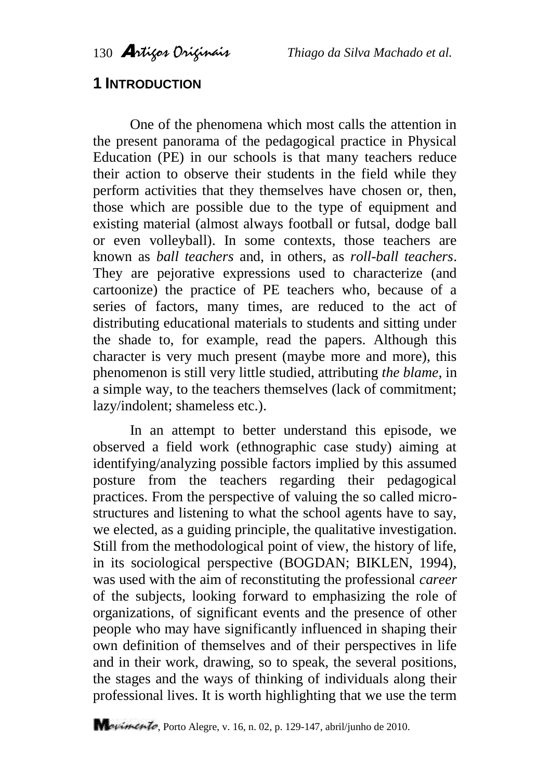## **1 INTRODUCTION**

One of the phenomena which most calls the attention in the present panorama of the pedagogical practice in Physical Education (PE) in our schools is that many teachers reduce their action to observe their students in the field while they perform activities that they themselves have chosen or, then, those which are possible due to the type of equipment and existing material (almost always football or futsal, dodge ball or even volleyball). In some contexts, those teachers are known as *ball teachers* and, in others, as *roll-ball teachers*. They are pejorative expressions used to characterize (and cartoonize) the practice of PE teachers who, because of a series of factors, many times, are reduced to the act of distributing educational materials to students and sitting under the shade to, for example, read the papers. Although this character is very much present (maybe more and more), this phenomenon is still very little studied, attributing *the blame*, in a simple way, to the teachers themselves (lack of commitment; lazy/indolent; shameless etc.).

In an attempt to better understand this episode, we observed a field work (ethnographic case study) aiming at identifying/analyzing possible factors implied by this assumed posture from the teachers regarding their pedagogical practices. From the perspective of valuing the so called microstructures and listening to what the school agents have to say, we elected, as a guiding principle, the qualitative investigation. Still from the methodological point of view, the history of life, in its sociological perspective (BOGDAN; BIKLEN, 1994), was used with the aim of reconstituting the professional *career* of the subjects, looking forward to emphasizing the role of organizations, of significant events and the presence of other people who may have significantly influenced in shaping their own definition of themselves and of their perspectives in life and in their work, drawing, so to speak, the several positions, the stages and the ways of thinking of individuals along their professional lives. It is worth highlighting that we use the term

Mavimento, Porto Alegre, v. 16, n. 02, p. 129-147, abril/junho de 2010.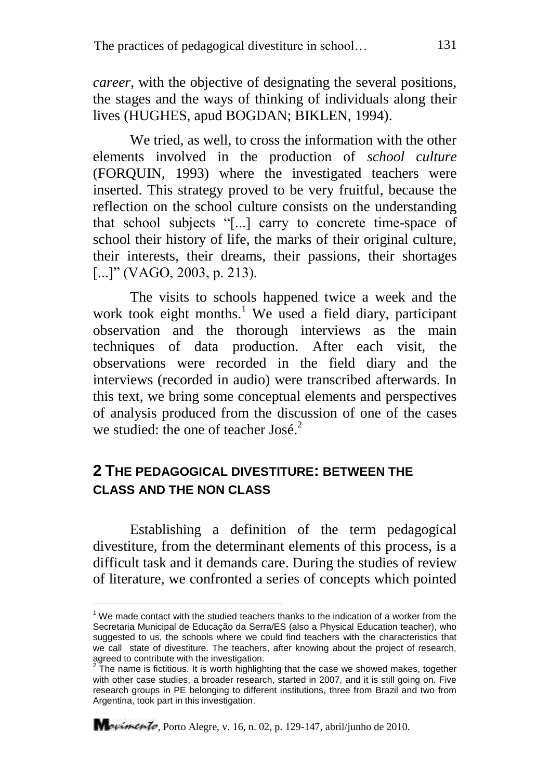*career*, with the objective of designating the several positions, the stages and the ways of thinking of individuals along their lives (HUGHES, apud BOGDAN; BIKLEN, 1994).

We tried, as well, to cross the information with the other elements involved in the production of *school culture* (FORQUIN, 1993) where the investigated teachers were inserted. This strategy proved to be very fruitful, because the reflection on the school culture consists on the understanding that school subjects "[...] carry to concrete time-space of school their history of life, the marks of their original culture, their interests, their dreams, their passions, their shortages [...]" (VAGO, 2003, p. 213).

The visits to schools happened twice a week and the work took eight months.<sup>1</sup> We used a field diary, participant observation and the thorough interviews as the main techniques of data production. After each visit, the observations were recorded in the field diary and the interviews (recorded in audio) were transcribed afterwards. In this text, we bring some conceptual elements and perspectives of analysis produced from the discussion of one of the cases we studied: the one of teacher  $\text{Jos}^{2}$ .

### **2 THE PEDAGOGICAL DIVESTITURE: BETWEEN THE CLASS AND THE NON CLASS**

Establishing a definition of the term pedagogical divestiture, from the determinant elements of this process, is a difficult task and it demands care. During the studies of review of literature, we confronted a series of concepts which pointed

 $\overline{\phantom{a}}$ 

 $1$  We made contact with the studied teachers thanks to the indication of a worker from the Secretaria Municipal de Educação da Serra/ES (also a Physical Education teacher), who suggested to us, the schools where we could find teachers with the characteristics that we call state of divestiture. The teachers, after knowing about the project of research, agreed to contribute with the investigation.

 $2$  The name is fictitious. It is worth highlighting that the case we showed makes, together with other case studies, a broader research, started in 2007, and it is still going on. Five research groups in PE belonging to different institutions, three from Brazil and two from Argentina, took part in this investigation.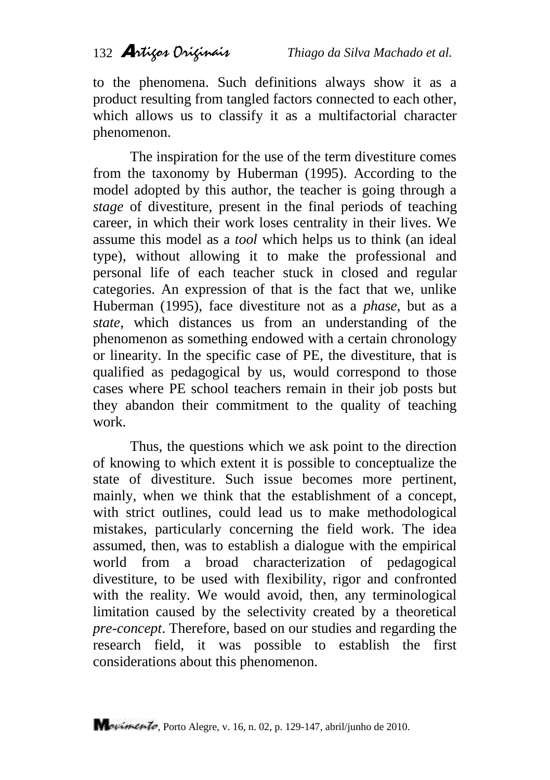to the phenomena. Such definitions always show it as a product resulting from tangled factors connected to each other, which allows us to classify it as a multifactorial character phenomenon.

The inspiration for the use of the term divestiture comes from the taxonomy by Huberman (1995). According to the model adopted by this author, the teacher is going through a *stage* of divestiture, present in the final periods of teaching career, in which their work loses centrality in their lives. We assume this model as a *tool* which helps us to think (an ideal type), without allowing it to make the professional and personal life of each teacher stuck in closed and regular categories. An expression of that is the fact that we, unlike Huberman (1995), face divestiture not as a *phase*, but as a *state*, which distances us from an understanding of the phenomenon as something endowed with a certain chronology or linearity. In the specific case of PE, the divestiture, that is qualified as pedagogical by us, would correspond to those cases where PE school teachers remain in their job posts but they abandon their commitment to the quality of teaching work.

Thus, the questions which we ask point to the direction of knowing to which extent it is possible to conceptualize the state of divestiture. Such issue becomes more pertinent, mainly, when we think that the establishment of a concept, with strict outlines, could lead us to make methodological mistakes, particularly concerning the field work. The idea assumed, then, was to establish a dialogue with the empirical world from a broad characterization of pedagogical divestiture, to be used with flexibility, rigor and confronted with the reality. We would avoid, then, any terminological limitation caused by the selectivity created by a theoretical *pre-concept*. Therefore, based on our studies and regarding the research field, it was possible to establish the first considerations about this phenomenon.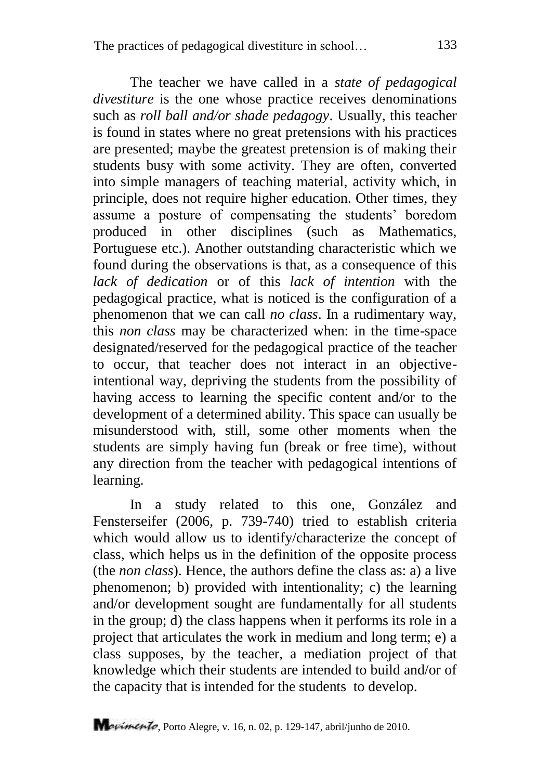The teacher we have called in a *state of pedagogical divestiture* is the one whose practice receives denominations such as *roll ball and/or shade pedagogy*. Usually, this teacher is found in states where no great pretensions with his practices are presented; maybe the greatest pretension is of making their students busy with some activity. They are often, converted into simple managers of teaching material, activity which, in principle, does not require higher education. Other times, they assume a posture of compensating the students" boredom produced in other disciplines (such as Mathematics, Portuguese etc.). Another outstanding characteristic which we found during the observations is that, as a consequence of this *lack of dedication* or of this *lack of intention* with the pedagogical practice, what is noticed is the configuration of a phenomenon that we can call *no class*. In a rudimentary way, this *non class* may be characterized when: in the time-space designated/reserved for the pedagogical practice of the teacher to occur, that teacher does not interact in an objectiveintentional way, depriving the students from the possibility of having access to learning the specific content and/or to the development of a determined ability. This space can usually be misunderstood with, still, some other moments when the students are simply having fun (break or free time), without any direction from the teacher with pedagogical intentions of learning.

In a study related to this one, González and Fensterseifer (2006, p. 739-740) tried to establish criteria which would allow us to identify/characterize the concept of class, which helps us in the definition of the opposite process (the *non class*). Hence, the authors define the class as: a) a live phenomenon; b) provided with intentionality; c) the learning and/or development sought are fundamentally for all students in the group; d) the class happens when it performs its role in a project that articulates the work in medium and long term; e) a class supposes, by the teacher, a mediation project of that knowledge which their students are intended to build and/or of the capacity that is intended for the students to develop.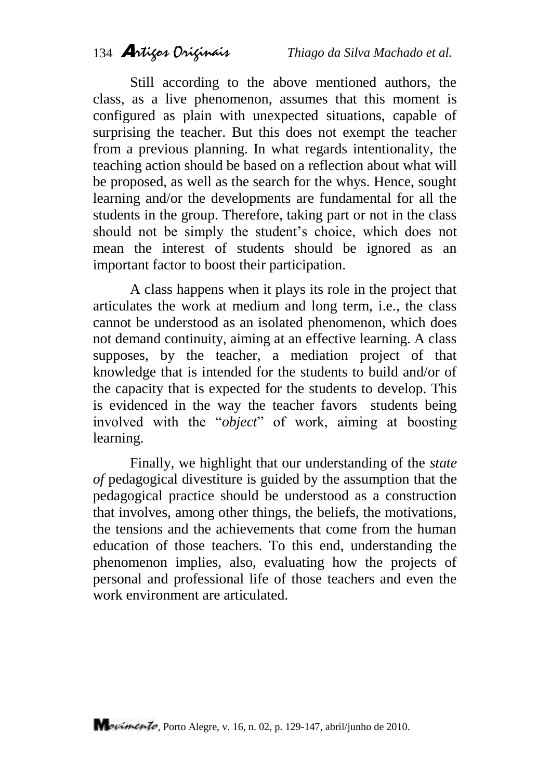Still according to the above mentioned authors, the class, as a live phenomenon, assumes that this moment is configured as plain with unexpected situations, capable of surprising the teacher. But this does not exempt the teacher from a previous planning. In what regards intentionality, the teaching action should be based on a reflection about what will be proposed, as well as the search for the whys. Hence, sought learning and/or the developments are fundamental for all the students in the group. Therefore, taking part or not in the class should not be simply the student's choice, which does not mean the interest of students should be ignored as an important factor to boost their participation.

A class happens when it plays its role in the project that articulates the work at medium and long term, i.e., the class cannot be understood as an isolated phenomenon, which does not demand continuity, aiming at an effective learning. A class supposes, by the teacher, a mediation project of that knowledge that is intended for the students to build and/or of the capacity that is expected for the students to develop. This is evidenced in the way the teacher favors students being involved with the "*object*" of work, aiming at boosting learning.

Finally, we highlight that our understanding of the *state of* pedagogical divestiture is guided by the assumption that the pedagogical practice should be understood as a construction that involves, among other things, the beliefs, the motivations, the tensions and the achievements that come from the human education of those teachers. To this end, understanding the phenomenon implies, also, evaluating how the projects of personal and professional life of those teachers and even the work environment are articulated.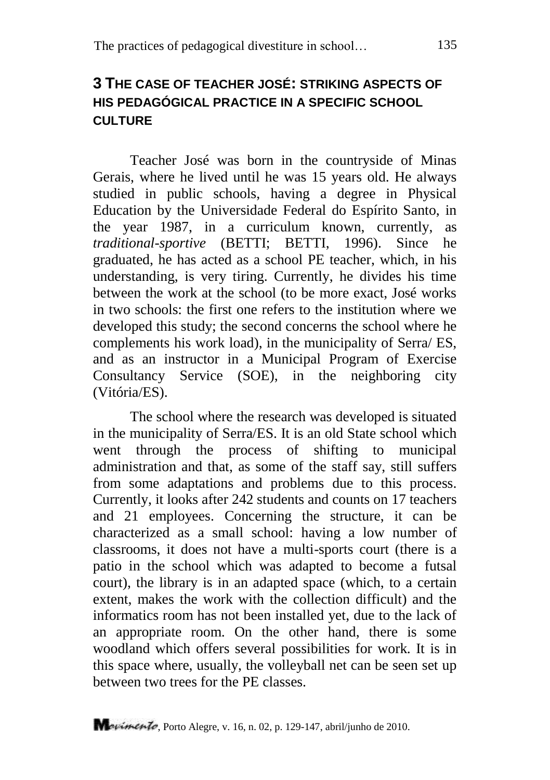## **3 THE CASE OF TEACHER JOSÉ: STRIKING ASPECTS OF HIS PEDAGÓGICAL PRACTICE IN A SPECIFIC SCHOOL CULTURE**

Teacher José was born in the countryside of Minas Gerais, where he lived until he was 15 years old. He always studied in public schools, having a degree in Physical Education by the Universidade Federal do Espírito Santo, in the year 1987, in a curriculum known, currently, as *traditional-sportive* (BETTI; BETTI, 1996). Since he graduated, he has acted as a school PE teacher, which, in his understanding, is very tiring. Currently, he divides his time between the work at the school (to be more exact, José works in two schools: the first one refers to the institution where we developed this study; the second concerns the school where he complements his work load), in the municipality of Serra/ ES, and as an instructor in a Municipal Program of Exercise Consultancy Service (SOE), in the neighboring city (Vitória/ES).

The school where the research was developed is situated in the municipality of Serra/ES. It is an old State school which went through the process of shifting to municipal administration and that, as some of the staff say, still suffers from some adaptations and problems due to this process. Currently, it looks after 242 students and counts on 17 teachers and 21 employees. Concerning the structure, it can be characterized as a small school: having a low number of classrooms, it does not have a multi-sports court (there is a patio in the school which was adapted to become a futsal court), the library is in an adapted space (which, to a certain extent, makes the work with the collection difficult) and the informatics room has not been installed yet, due to the lack of an appropriate room. On the other hand, there is some woodland which offers several possibilities for work. It is in this space where, usually, the volleyball net can be seen set up between two trees for the PE classes.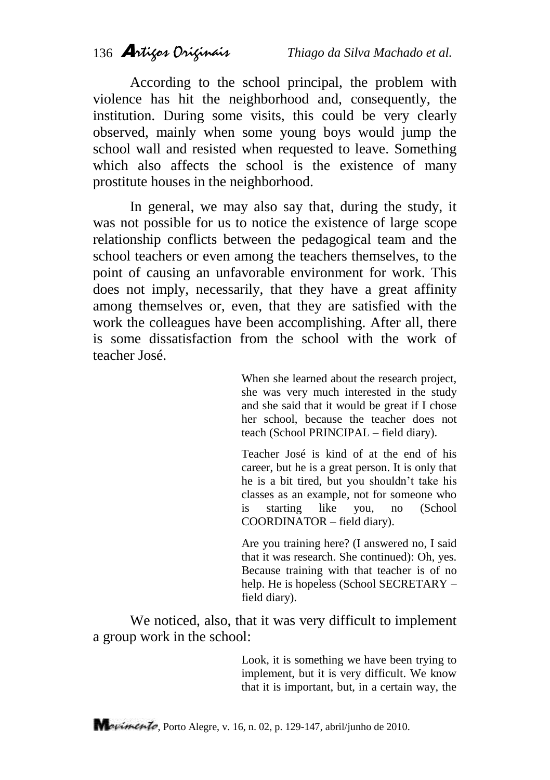According to the school principal, the problem with violence has hit the neighborhood and, consequently, the institution. During some visits, this could be very clearly observed, mainly when some young boys would jump the school wall and resisted when requested to leave. Something which also affects the school is the existence of many prostitute houses in the neighborhood.

In general, we may also say that, during the study, it was not possible for us to notice the existence of large scope relationship conflicts between the pedagogical team and the school teachers or even among the teachers themselves, to the point of causing an unfavorable environment for work. This does not imply, necessarily, that they have a great affinity among themselves or, even, that they are satisfied with the work the colleagues have been accomplishing. After all, there is some dissatisfaction from the school with the work of teacher José.

> When she learned about the research project, she was very much interested in the study and she said that it would be great if I chose her school, because the teacher does not teach (School PRINCIPAL – field diary).

> Teacher José is kind of at the end of his career, but he is a great person. It is only that he is a bit tired, but you shouldn"t take his classes as an example, not for someone who is starting like you, no (School COORDINATOR – field diary).

> Are you training here? (I answered no, I said that it was research. She continued): Oh, yes. Because training with that teacher is of no help. He is hopeless (School SECRETARY – field diary).

We noticed, also, that it was very difficult to implement a group work in the school:

> Look, it is something we have been trying to implement, but it is very difficult. We know that it is important, but, in a certain way, the

Mauimento, Porto Alegre, v. 16, n. 02, p. 129-147, abril/junho de 2010.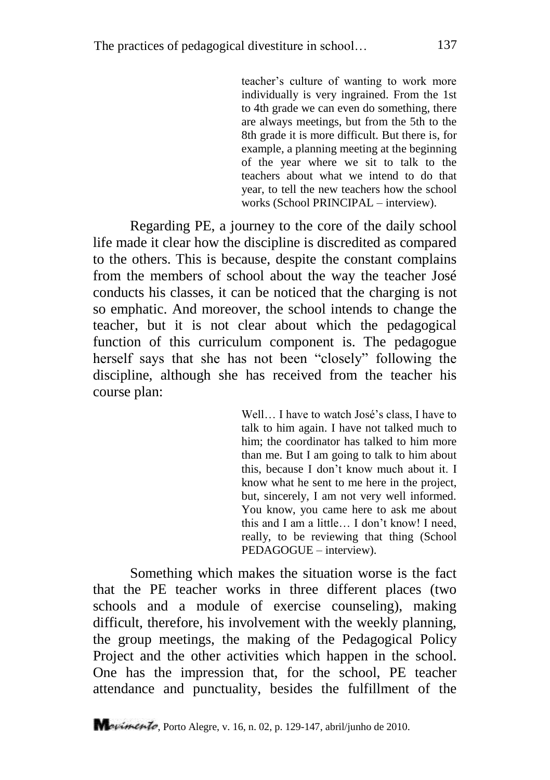teacher"s culture of wanting to work more individually is very ingrained. From the 1st to 4th grade we can even do something, there are always meetings, but from the 5th to the 8th grade it is more difficult. But there is, for example, a planning meeting at the beginning of the year where we sit to talk to the teachers about what we intend to do that year, to tell the new teachers how the school works (School PRINCIPAL – interview).

Regarding PE, a journey to the core of the daily school life made it clear how the discipline is discredited as compared to the others. This is because, despite the constant complains from the members of school about the way the teacher José conducts his classes, it can be noticed that the charging is not so emphatic. And moreover, the school intends to change the teacher, but it is not clear about which the pedagogical function of this curriculum component is. The pedagogue herself says that she has not been "closely" following the discipline, although she has received from the teacher his course plan:

> Well... I have to watch José's class. I have to talk to him again. I have not talked much to him; the coordinator has talked to him more than me. But I am going to talk to him about this, because I don"t know much about it. I know what he sent to me here in the project, but, sincerely, I am not very well informed. You know, you came here to ask me about this and I am a little… I don"t know! I need, really, to be reviewing that thing (School PEDAGOGUE – interview).

Something which makes the situation worse is the fact that the PE teacher works in three different places (two schools and a module of exercise counseling), making difficult, therefore, his involvement with the weekly planning, the group meetings, the making of the Pedagogical Policy Project and the other activities which happen in the school. One has the impression that, for the school, PE teacher attendance and punctuality, besides the fulfillment of the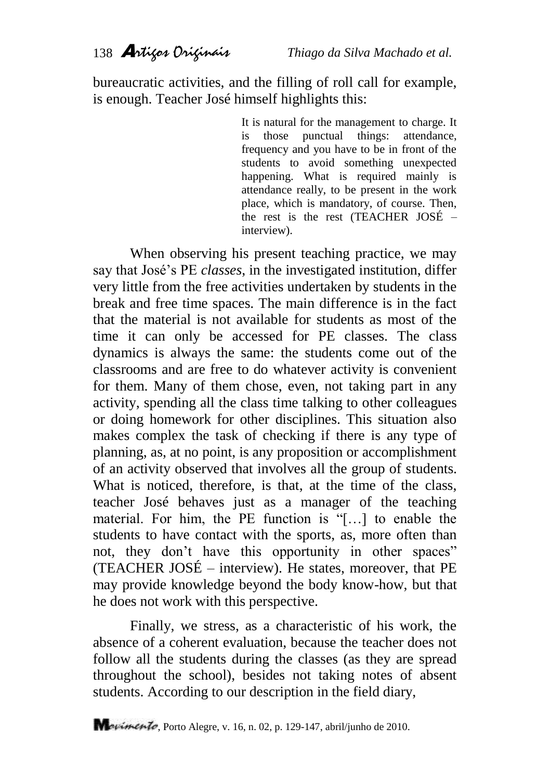bureaucratic activities, and the filling of roll call for example, is enough. Teacher José himself highlights this:

> It is natural for the management to charge. It is those punctual things: attendance, frequency and you have to be in front of the students to avoid something unexpected happening. What is required mainly is attendance really, to be present in the work place, which is mandatory, of course. Then, the rest is the rest (TEACHER JOSÉ – interview).

When observing his present teaching practice, we may say that José"s PE *classes*, in the investigated institution, differ very little from the free activities undertaken by students in the break and free time spaces. The main difference is in the fact that the material is not available for students as most of the time it can only be accessed for PE classes. The class dynamics is always the same: the students come out of the classrooms and are free to do whatever activity is convenient for them. Many of them chose, even, not taking part in any activity, spending all the class time talking to other colleagues or doing homework for other disciplines. This situation also makes complex the task of checking if there is any type of planning, as, at no point, is any proposition or accomplishment of an activity observed that involves all the group of students. What is noticed, therefore, is that, at the time of the class, teacher José behaves just as a manager of the teaching material. For him, the PE function is "[…] to enable the students to have contact with the sports, as, more often than not, they don't have this opportunity in other spaces" (TEACHER JOSÉ – interview). He states, moreover, that PE may provide knowledge beyond the body know-how, but that he does not work with this perspective.

Finally, we stress, as a characteristic of his work, the absence of a coherent evaluation, because the teacher does not follow all the students during the classes (as they are spread throughout the school), besides not taking notes of absent students. According to our description in the field diary,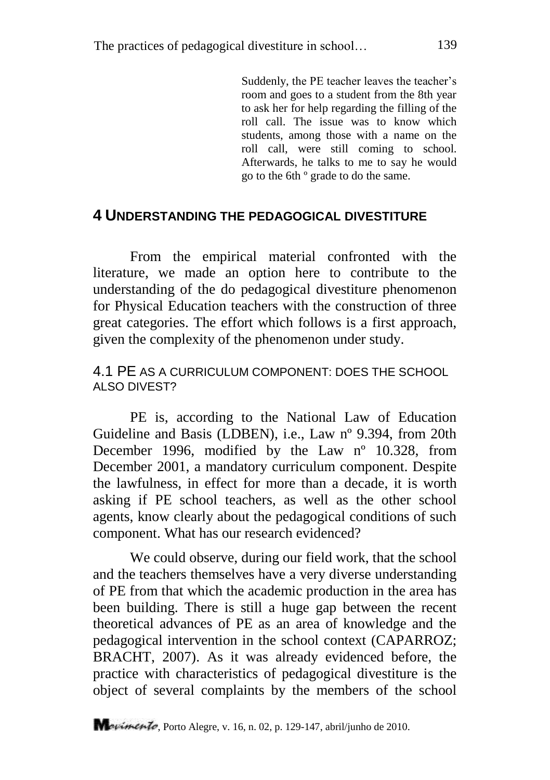Suddenly, the PE teacher leaves the teacher's room and goes to a student from the 8th year to ask her for help regarding the filling of the roll call. The issue was to know which students, among those with a name on the roll call, were still coming to school. Afterwards, he talks to me to say he would go to the 6th º grade to do the same.

### **4 UNDERSTANDING THE PEDAGOGICAL DIVESTITURE**

From the empirical material confronted with the literature, we made an option here to contribute to the understanding of the do pedagogical divestiture phenomenon for Physical Education teachers with the construction of three great categories. The effort which follows is a first approach, given the complexity of the phenomenon under study.

### 4.1 PE AS A CURRICULUM COMPONENT: DOES THE SCHOOL ALSO DIVEST?

PE is, according to the National Law of Education Guideline and Basis (LDBEN), i.e., Law nº 9.394, from 20th December 1996, modified by the Law nº 10.328, from December 2001, a mandatory curriculum component. Despite the lawfulness, in effect for more than a decade, it is worth asking if PE school teachers, as well as the other school agents, know clearly about the pedagogical conditions of such component. What has our research evidenced?

We could observe, during our field work, that the school and the teachers themselves have a very diverse understanding of PE from that which the academic production in the area has been building. There is still a huge gap between the recent theoretical advances of PE as an area of knowledge and the pedagogical intervention in the school context (CAPARROZ; BRACHT, 2007). As it was already evidenced before, the practice with characteristics of pedagogical divestiture is the object of several complaints by the members of the school

Mauimento, Porto Alegre, v. 16, n. 02, p. 129-147, abril/junho de 2010.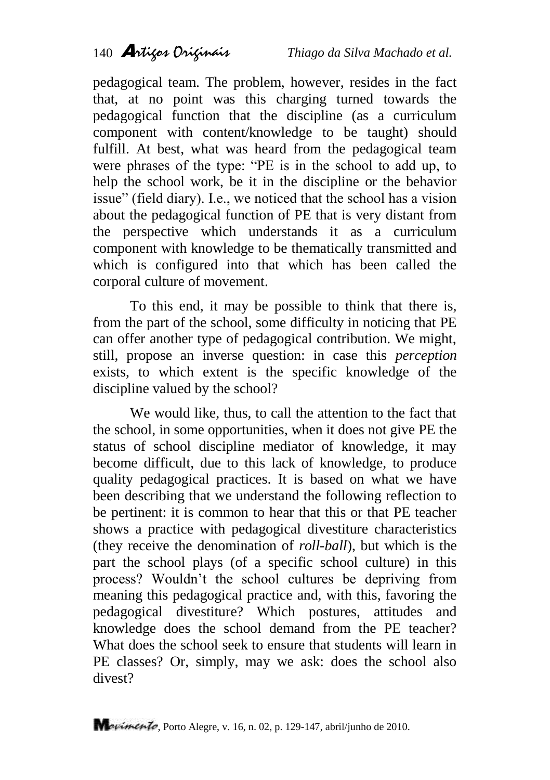pedagogical team. The problem, however, resides in the fact that, at no point was this charging turned towards the pedagogical function that the discipline (as a curriculum component with content/knowledge to be taught) should fulfill. At best, what was heard from the pedagogical team were phrases of the type: "PE is in the school to add up, to help the school work, be it in the discipline or the behavior issue" (field diary). I.e., we noticed that the school has a vision about the pedagogical function of PE that is very distant from the perspective which understands it as a curriculum component with knowledge to be thematically transmitted and which is configured into that which has been called the corporal culture of movement.

To this end, it may be possible to think that there is, from the part of the school, some difficulty in noticing that PE can offer another type of pedagogical contribution. We might, still, propose an inverse question: in case this *perception* exists, to which extent is the specific knowledge of the discipline valued by the school?

We would like, thus, to call the attention to the fact that the school, in some opportunities, when it does not give PE the status of school discipline mediator of knowledge, it may become difficult, due to this lack of knowledge, to produce quality pedagogical practices. It is based on what we have been describing that we understand the following reflection to be pertinent: it is common to hear that this or that PE teacher shows a practice with pedagogical divestiture characteristics (they receive the denomination of *roll-ball*), but which is the part the school plays (of a specific school culture) in this process? Wouldn"t the school cultures be depriving from meaning this pedagogical practice and, with this, favoring the pedagogical divestiture? Which postures, attitudes and knowledge does the school demand from the PE teacher? What does the school seek to ensure that students will learn in PE classes? Or, simply, may we ask: does the school also divest?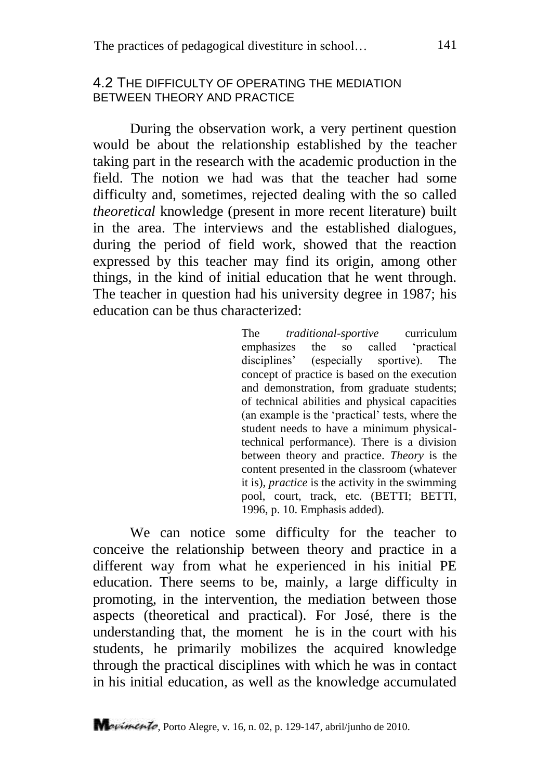### 4.2 THE DIFFICULTY OF OPERATING THE MEDIATION BETWEEN THEORY AND PRACTICE

During the observation work, a very pertinent question would be about the relationship established by the teacher taking part in the research with the academic production in the field. The notion we had was that the teacher had some difficulty and, sometimes, rejected dealing with the so called *theoretical* knowledge (present in more recent literature) built in the area. The interviews and the established dialogues, during the period of field work, showed that the reaction expressed by this teacher may find its origin, among other things, in the kind of initial education that he went through. The teacher in question had his university degree in 1987; his education can be thus characterized:

> The *traditional-sportive* curriculum emphasizes the so called 'practical<br>disciplines' (especially sportive). The  $($ especially sportive). The concept of practice is based on the execution and demonstration, from graduate students; of technical abilities and physical capacities (an example is the "practical" tests, where the student needs to have a minimum physicaltechnical performance). There is a division between theory and practice. *Theory* is the content presented in the classroom (whatever it is), *practice* is the activity in the swimming pool, court, track, etc. (BETTI; BETTI, 1996, p. 10. Emphasis added).

We can notice some difficulty for the teacher to conceive the relationship between theory and practice in a different way from what he experienced in his initial PE education. There seems to be, mainly, a large difficulty in promoting, in the intervention, the mediation between those aspects (theoretical and practical). For José, there is the understanding that, the moment he is in the court with his students, he primarily mobilizes the acquired knowledge through the practical disciplines with which he was in contact in his initial education, as well as the knowledge accumulated

Mavimento, Porto Alegre, v. 16, n. 02, p. 129-147, abril/junho de 2010.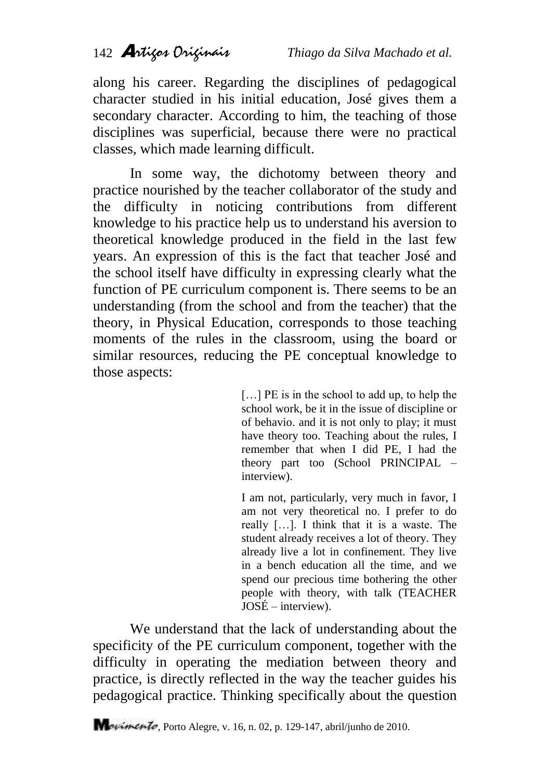along his career. Regarding the disciplines of pedagogical character studied in his initial education, José gives them a secondary character. According to him, the teaching of those disciplines was superficial, because there were no practical classes, which made learning difficult.

In some way, the dichotomy between theory and practice nourished by the teacher collaborator of the study and the difficulty in noticing contributions from different knowledge to his practice help us to understand his aversion to theoretical knowledge produced in the field in the last few years. An expression of this is the fact that teacher José and the school itself have difficulty in expressing clearly what the function of PE curriculum component is. There seems to be an understanding (from the school and from the teacher) that the theory, in Physical Education, corresponds to those teaching moments of the rules in the classroom, using the board or similar resources, reducing the PE conceptual knowledge to those aspects:

> [...] PE is in the school to add up, to help the school work, be it in the issue of discipline or of behavio. and it is not only to play; it must have theory too. Teaching about the rules, I remember that when I did PE, I had the theory part too (School PRINCIPAL – interview).

> I am not, particularly, very much in favor, I am not very theoretical no. I prefer to do really […]. I think that it is a waste. The student already receives a lot of theory. They already live a lot in confinement. They live in a bench education all the time, and we spend our precious time bothering the other people with theory, with talk (TEACHER JOSÉ – interview).

We understand that the lack of understanding about the specificity of the PE curriculum component, together with the difficulty in operating the mediation between theory and practice, is directly reflected in the way the teacher guides his pedagogical practice. Thinking specifically about the question

Mauimento, Porto Alegre, v. 16, n. 02, p. 129-147, abril/junho de 2010.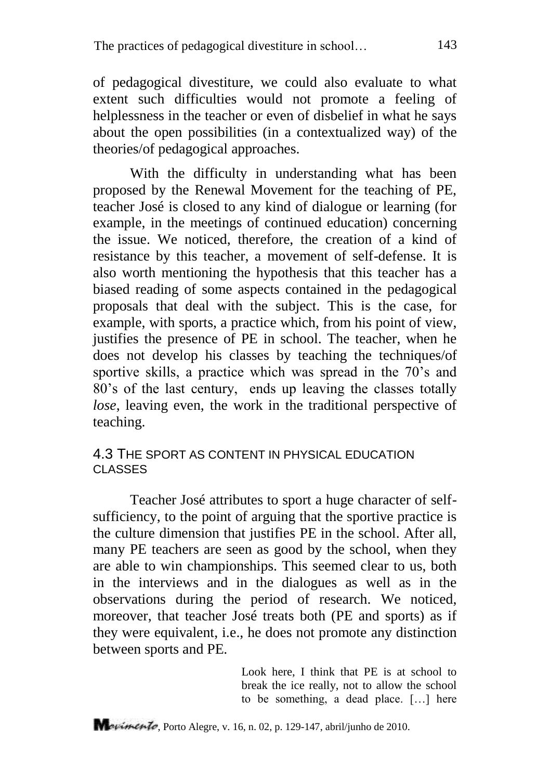of pedagogical divestiture, we could also evaluate to what extent such difficulties would not promote a feeling of helplessness in the teacher or even of disbelief in what he says about the open possibilities (in a contextualized way) of the theories/of pedagogical approaches.

With the difficulty in understanding what has been proposed by the Renewal Movement for the teaching of PE, teacher José is closed to any kind of dialogue or learning (for example, in the meetings of continued education) concerning the issue. We noticed, therefore, the creation of a kind of resistance by this teacher, a movement of self-defense. It is also worth mentioning the hypothesis that this teacher has a biased reading of some aspects contained in the pedagogical proposals that deal with the subject. This is the case, for example, with sports, a practice which, from his point of view, justifies the presence of PE in school. The teacher, when he does not develop his classes by teaching the techniques/of sportive skills, a practice which was spread in the 70's and 80"s of the last century, ends up leaving the classes totally *lose*, leaving even, the work in the traditional perspective of teaching.

### 4.3 THE SPORT AS CONTENT IN PHYSICAL EDUCATION CLASSES

Teacher José attributes to sport a huge character of selfsufficiency, to the point of arguing that the sportive practice is the culture dimension that justifies PE in the school. After all, many PE teachers are seen as good by the school, when they are able to win championships. This seemed clear to us, both in the interviews and in the dialogues as well as in the observations during the period of research. We noticed, moreover, that teacher José treats both (PE and sports) as if they were equivalent, i.e., he does not promote any distinction between sports and PE.

> Look here, I think that PE is at school to break the ice really, not to allow the school to be something, a dead place. […] here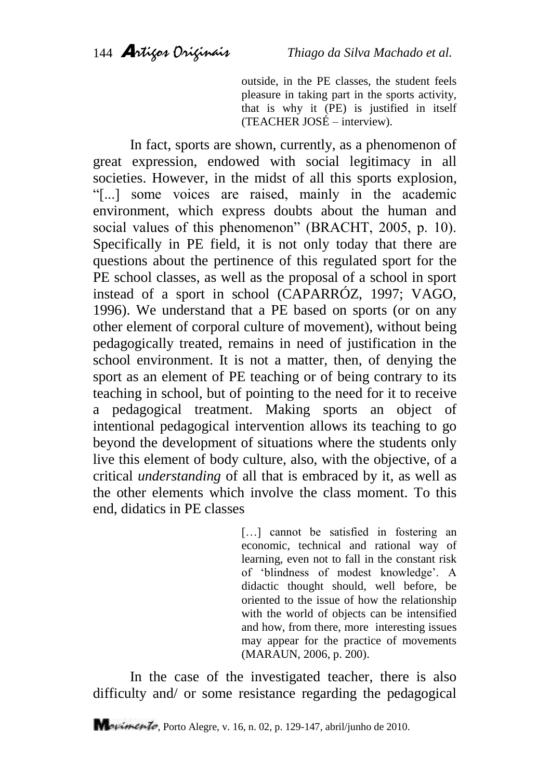outside, in the PE classes, the student feels pleasure in taking part in the sports activity, that is why it (PE) is justified in itself (TEACHER JOSÉ – interview).

In fact, sports are shown, currently, as a phenomenon of great expression, endowed with social legitimacy in all societies. However, in the midst of all this sports explosion, "[...] some voices are raised, mainly in the academic environment, which express doubts about the human and social values of this phenomenon" (BRACHT, 2005, p. 10). Specifically in PE field, it is not only today that there are questions about the pertinence of this regulated sport for the PE school classes, as well as the proposal of a school in sport instead of a sport in school (CAPARRÓZ, 1997; VAGO, 1996). We understand that a PE based on sports (or on any other element of corporal culture of movement), without being pedagogically treated, remains in need of justification in the school environment. It is not a matter, then, of denying the sport as an element of PE teaching or of being contrary to its teaching in school, but of pointing to the need for it to receive a pedagogical treatment. Making sports an object of intentional pedagogical intervention allows its teaching to go beyond the development of situations where the students only live this element of body culture, also, with the objective, of a critical *understanding* of all that is embraced by it, as well as the other elements which involve the class moment. To this end, didatics in PE classes

> [...] cannot be satisfied in fostering an economic, technical and rational way of learning, even not to fall in the constant risk of "blindness of modest knowledge". A didactic thought should, well before, be oriented to the issue of how the relationship with the world of objects can be intensified and how, from there, more interesting issues may appear for the practice of movements (MARAUN, 2006, p. 200).

In the case of the investigated teacher, there is also difficulty and/ or some resistance regarding the pedagogical

Mavimento, Porto Alegre, v. 16, n. 02, p. 129-147, abril/junho de 2010.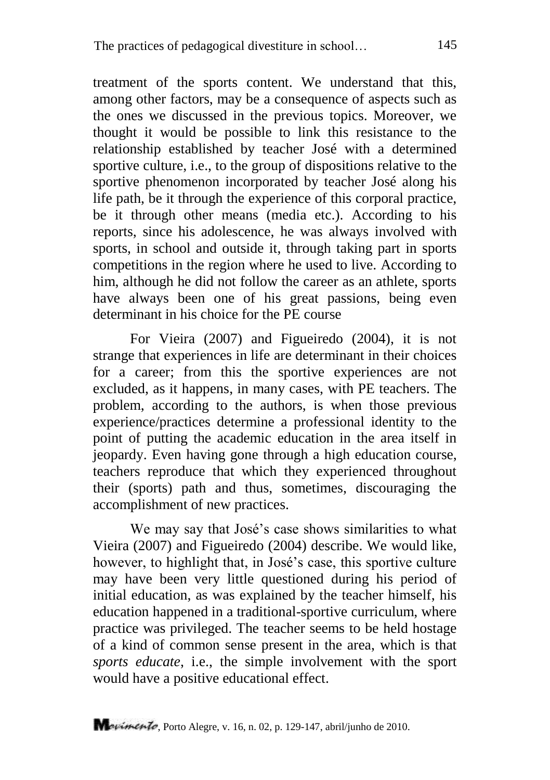treatment of the sports content. We understand that this, among other factors, may be a consequence of aspects such as the ones we discussed in the previous topics. Moreover, we thought it would be possible to link this resistance to the relationship established by teacher José with a determined sportive culture, i.e., to the group of dispositions relative to the sportive phenomenon incorporated by teacher José along his life path, be it through the experience of this corporal practice, be it through other means (media etc.). According to his reports, since his adolescence, he was always involved with sports, in school and outside it, through taking part in sports competitions in the region where he used to live. According to him, although he did not follow the career as an athlete, sports have always been one of his great passions, being even determinant in his choice for the PE course

For Vieira (2007) and Figueiredo (2004), it is not strange that experiences in life are determinant in their choices for a career; from this the sportive experiences are not excluded, as it happens, in many cases, with PE teachers. The problem, according to the authors, is when those previous experience/practices determine a professional identity to the point of putting the academic education in the area itself in jeopardy. Even having gone through a high education course, teachers reproduce that which they experienced throughout their (sports) path and thus, sometimes, discouraging the accomplishment of new practices.

We may say that José's case shows similarities to what Vieira (2007) and Figueiredo (2004) describe. We would like, however, to highlight that, in José's case, this sportive culture may have been very little questioned during his period of initial education, as was explained by the teacher himself, his education happened in a traditional-sportive curriculum, where practice was privileged. The teacher seems to be held hostage of a kind of common sense present in the area, which is that *sports educate*, i.e., the simple involvement with the sport would have a positive educational effect.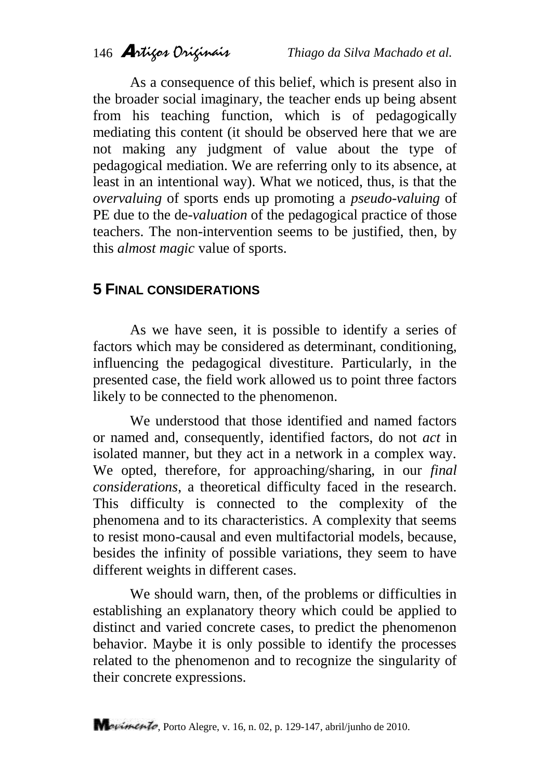As a consequence of this belief, which is present also in the broader social imaginary, the teacher ends up being absent from his teaching function, which is of pedagogically mediating this content (it should be observed here that we are not making any judgment of value about the type of pedagogical mediation. We are referring only to its absence, at least in an intentional way). What we noticed, thus, is that the *overvaluing* of sports ends up promoting a *pseudo-valuing* of PE due to the de-*valuation* of the pedagogical practice of those teachers. The non-intervention seems to be justified, then, by this *almost magic* value of sports.

## **5 FINAL CONSIDERATIONS**

As we have seen, it is possible to identify a series of factors which may be considered as determinant, conditioning, influencing the pedagogical divestiture. Particularly, in the presented case, the field work allowed us to point three factors likely to be connected to the phenomenon.

We understood that those identified and named factors or named and, consequently, identified factors, do not *act* in isolated manner, but they act in a network in a complex way. We opted, therefore, for approaching/sharing, in our *final considerations*, a theoretical difficulty faced in the research. This difficulty is connected to the complexity of the phenomena and to its characteristics. A complexity that seems to resist mono-causal and even multifactorial models, because, besides the infinity of possible variations, they seem to have different weights in different cases.

We should warn, then, of the problems or difficulties in establishing an explanatory theory which could be applied to distinct and varied concrete cases, to predict the phenomenon behavior. Maybe it is only possible to identify the processes related to the phenomenon and to recognize the singularity of their concrete expressions.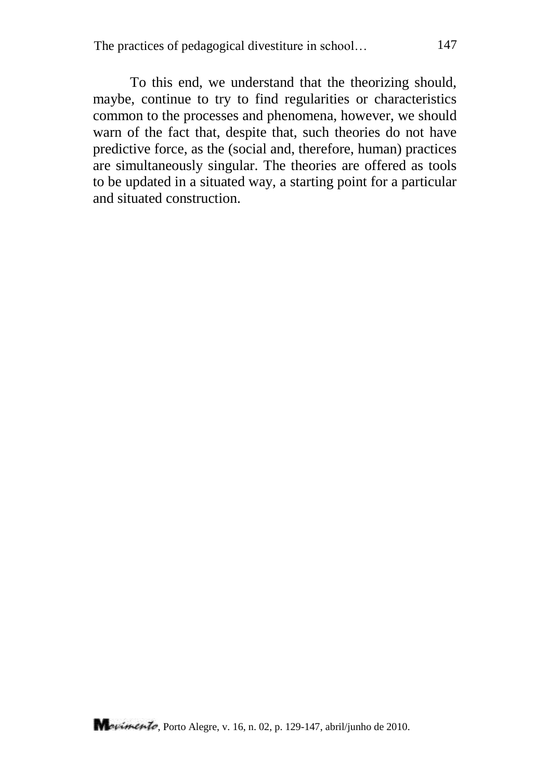To this end, we understand that the theorizing should, maybe, continue to try to find regularities or characteristics common to the processes and phenomena, however, we should warn of the fact that, despite that, such theories do not have predictive force, as the (social and, therefore, human) practices are simultaneously singular. The theories are offered as tools to be updated in a situated way, a starting point for a particular and situated construction.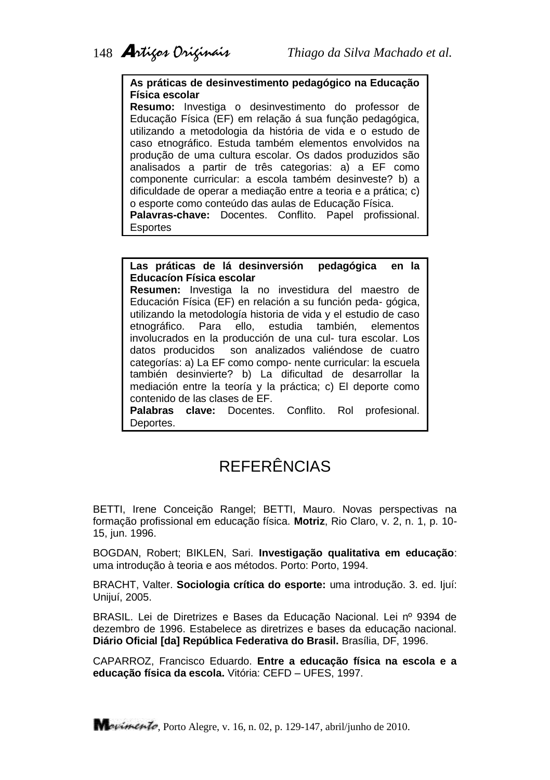#### **As práticas de desinvestimento pedagógico na Educação Física escolar**

**Resumo:** Investiga o desinvestimento do professor de Educação Física (EF) em relação á sua função pedagógica, utilizando a metodologia da história de vida e o estudo de caso etnográfico. Estuda também elementos envolvidos na produção de uma cultura escolar. Os dados produzidos são analisados a partir de três categorias: a) a EF como componente curricular: a escola também desinveste? b) a dificuldade de operar a mediação entre a teoria e a prática; c) o esporte como conteúdo das aulas de Educação Física. **Palavras-chave:** Docentes. Conflito. Papel profissional. Esportes

#### **Las práticas de lá desinversión pedagógica en la Educacíon Física escolar**

**Resumen:** Investiga la no investidura del maestro de Educación Física (EF) en relación a su función peda- gógica, utilizando la metodología historia de vida y el estudio de caso<br>etnográfico. Para ello. estudia también. elementos etnográfico. Para ello, estudia también, elementos involucrados en la producción de una cul- tura escolar. Los datos producidos son analizados valiéndose de cuatro categorías: a) La EF como compo- nente curricular: la escuela también desinvierte? b) La dificultad de desarrollar la mediación entre la teoría y la práctica; c) El deporte como contenido de las clases de EF.

**Palabras clave:** Docentes. Conflito. Rol profesional. Deportes.

# **REFERÊNCIAS**

BETTI, Irene Conceição Rangel; BETTI, Mauro. Novas perspectivas na formação profissional em educação física. **Motriz**, Rio Claro, v. 2, n. 1, p. 10- 15, jun. 1996.

BOGDAN, Robert; BIKLEN, Sari. **Investigação qualitativa em educação**: uma introdução à teoria e aos métodos. Porto: Porto, 1994.

BRACHT, Valter. **Sociologia crítica do esporte:** uma introdução. 3. ed. Ijuí: Unijuí, 2005.

BRASIL. Lei de Diretrizes e Bases da Educação Nacional. Lei nº 9394 de dezembro de 1996. Estabelece as diretrizes e bases da educação nacional. **Diário Oficial [da] República Federativa do Brasil.** Brasília, DF, 1996.

CAPARROZ, Francisco Eduardo. **Entre a educação física na escola e a educação física da escola.** Vitória: CEFD – UFES, 1997.

Movimento, Porto Alegre, v. 16, n. 02, p. 129-147, abril/junho de 2010.